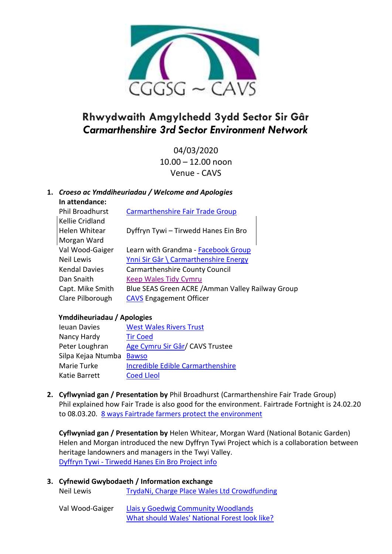

# **Rhwydwaith Amgylchedd 3ydd Sector Sir Gâr** *Carmarthenshire 3rd Sector Environment Network*

04/03/2020 10.00 – 12.00 noon Venue - CAVS

## **1.** *Croeso ac Ymddiheuriadau / Welcome and Apologies*

**In attendance:**

| Phil Broadhurst  | <b>Carmarthenshire Fair Trade Group</b>           |
|------------------|---------------------------------------------------|
| Kellie Cridland  |                                                   |
| Helen Whitear    | Dyffryn Tywi - Tirwedd Hanes Ein Bro              |
| Morgan Ward      |                                                   |
| Val Wood-Gaiger  | Learn with Grandma - Facebook Group               |
| Neil Lewis       | Ynni Sir Gâr \ Carmarthenshire Energy             |
| Kendal Davies    | <b>Carmarthenshire County Council</b>             |
| Dan Snaith       | <b>Keep Wales Tidy Cymru</b>                      |
| Capt. Mike Smith | Blue SEAS Green ACRE / Amman Valley Railway Group |
| Clare Pilborough | <b>CAVS Engagement Officer</b>                    |
|                  |                                                   |

### **Ymddiheuriadau / Apologies**

| <b>Ieuan Davies</b> | <b>West Wales Rivers Trust</b>           |
|---------------------|------------------------------------------|
| Nancy Hardy         | <b>Tir Coed</b>                          |
| Peter Loughran      | Age Cymru Sir Gâr/ CAVS Trustee          |
| Silpa Kejaa Ntumba  | <b>Bawso</b>                             |
| Marie Turke         | <b>Incredible Edible Carmarthenshire</b> |
| Katie Barrett       | <b>Coed Lleol</b>                        |
|                     |                                          |

**2. Cyflwyniad gan / Presentation by** Phil Broadhurst (Carmarthenshire Fair Trade Group) Phil explained how Fair Trade is also good for the environment. Fairtrade Fortnight is 24.02.20 to 08.03.20. [8 ways Fairtrade farmers protect the](https://www.fairtrade.org.uk/Media-Centre/Blog/2018/June/8-ways-Fairtrade-protects-the-environment) environment

**Cyflwyniad gan / Presentation by** Helen Whitear, Morgan Ward (National Botanic Garden) Helen and Morgan introduced the new Dyffryn Tywi Project which is a collaboration between heritage landowners and managers in the Twyi Valley. Dyffryn Tywi - [Tirwedd Hanes Ein Bro Project](http://www.cavs.org.uk/wp-content/uploads/2020/03/Dyffryn-Tywi.pdf) info

| 3. Cyfnewid Gwybodaeth / Information exchange |                                               |  |
|-----------------------------------------------|-----------------------------------------------|--|
| Neil Lewis                                    | TrydaNi, Charge Place Wales Ltd Crowdfunding  |  |
| Val Wood-Gaiger                               | Llais y Goedwig Community Woodlands           |  |
|                                               | What should Wales' National Forest look like? |  |